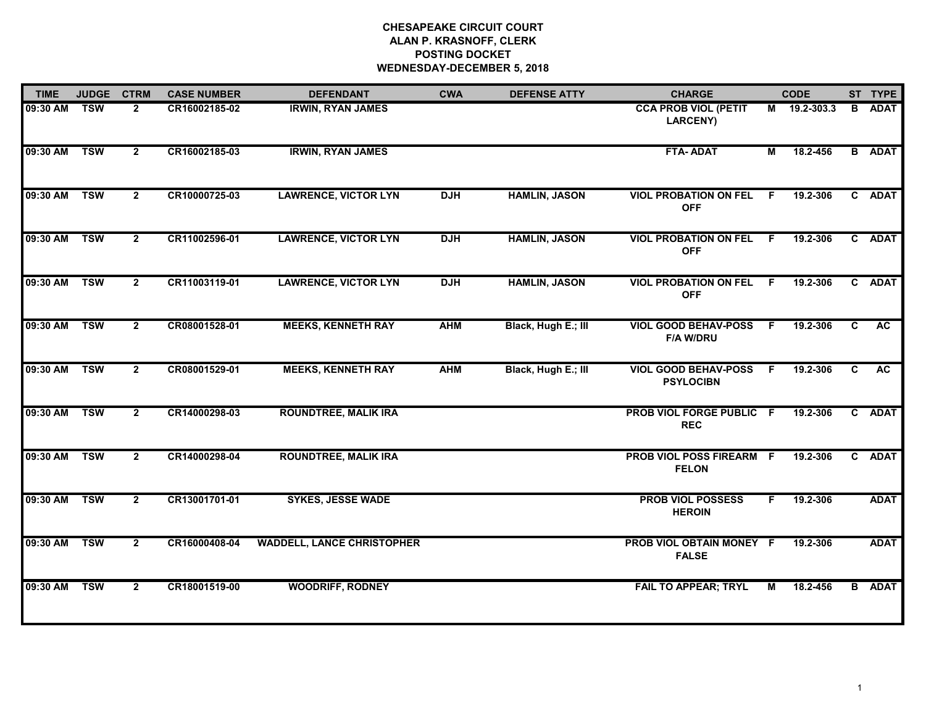# **CHESAPEAKE CIRCUIT COURT ALAN P. KRASNOFF, CLERK POSTING DOCKET WEDNESDAY-DECEMBER 5, 2018**

| <b>TIME</b>  | <b>JUDGE</b> | <b>CTRM</b>    | <b>CASE NUMBER</b> | <b>DEFENDANT</b>                  | <b>CWA</b> | <b>DEFENSE ATTY</b>  | <b>CHARGE</b>                                   |     | <b>CODE</b>  |    | ST TYPE       |
|--------------|--------------|----------------|--------------------|-----------------------------------|------------|----------------------|-------------------------------------------------|-----|--------------|----|---------------|
| 09:30 AM     | <b>TSW</b>   | $\mathbf{2}$   | CR16002185-02      | <b>IRWIN, RYAN JAMES</b>          |            |                      | <b>CCA PROB VIOL (PETIT</b><br><b>LARCENY)</b>  |     | M 19.2-303.3 | B  | <b>ADAT</b>   |
| 09:30 AM     | <b>TSW</b>   | $\mathbf{2}$   | CR16002185-03      | <b>IRWIN, RYAN JAMES</b>          |            |                      | FTA-ADAT                                        | M   | 18.2-456     |    | <b>B</b> ADAT |
| 09:30 AM     | <b>TSW</b>   | $\mathbf{2}$   | CR10000725-03      | <b>LAWRENCE, VICTOR LYN</b>       | <b>DJH</b> | <b>HAMLIN, JASON</b> | <b>VIOL PROBATION ON FEL</b><br><b>OFF</b>      | - F | 19.2-306     |    | C ADAT        |
| 09:30 AM     | <b>TSW</b>   | $\overline{2}$ | CR11002596-01      | <b>LAWRENCE, VICTOR LYN</b>       | <b>DJH</b> | <b>HAMLIN, JASON</b> | <b>VIOL PROBATION ON FEL F</b><br><b>OFF</b>    |     | 19.2-306     |    | C ADAT        |
| 09:30 AM     | <b>TSW</b>   | $\mathbf{2}$   | CR11003119-01      | <b>LAWRENCE, VICTOR LYN</b>       | <b>DJH</b> | <b>HAMLIN, JASON</b> | <b>VIOL PROBATION ON FEL F</b><br><b>OFF</b>    |     | 19.2-306     |    | C ADAT        |
| 09:30 AM TSW |              | $\mathbf{2}$   | CR08001528-01      | <b>MEEKS, KENNETH RAY</b>         | <b>AHM</b> | Black, Hugh E.; III  | <b>VIOL GOOD BEHAV-POSS</b><br><b>F/A W/DRU</b> | - F | 19.2-306     | C  | AC            |
| 09:30 AM     | <b>TSW</b>   | $\mathbf{2}$   | CR08001529-01      | <b>MEEKS, KENNETH RAY</b>         | <b>AHM</b> | Black, Hugh E.; III  | <b>VIOL GOOD BEHAV-POSS</b><br><b>PSYLOCIBN</b> | - F | 19.2-306     | C  | <b>AC</b>     |
| 09:30 AM     | <b>TSW</b>   | $\mathbf{2}$   | CR14000298-03      | <b>ROUNDTREE, MALIK IRA</b>       |            |                      | PROB VIOL FORGE PUBLIC F<br><b>REC</b>          |     | 19.2-306     |    | C ADAT        |
| 09:30 AM     | <b>TSW</b>   | $\mathbf{2}$   | CR14000298-04      | <b>ROUNDTREE, MALIK IRA</b>       |            |                      | PROB VIOL POSS FIREARM F<br><b>FELON</b>        |     | 19.2-306     | C. | <b>ADAT</b>   |
| 09:30 AM     | <b>TSW</b>   | $\mathbf{2}$   | CR13001701-01      | <b>SYKES, JESSE WADE</b>          |            |                      | <b>PROB VIOL POSSESS</b><br><b>HEROIN</b>       | F.  | 19.2-306     |    | <b>ADAT</b>   |
| 09:30 AM     | <b>TSW</b>   | $\overline{2}$ | CR16000408-04      | <b>WADDELL, LANCE CHRISTOPHER</b> |            |                      | PROB VIOL OBTAIN MONEY F<br><b>FALSE</b>        |     | 19.2-306     |    | <b>ADAT</b>   |
| 09:30 AM     | <b>TSW</b>   | $\mathbf{2}$   | CR18001519-00      | <b>WOODRIFF, RODNEY</b>           |            |                      | <b>FAIL TO APPEAR; TRYL</b>                     | М   | 18.2-456     |    | <b>B</b> ADAT |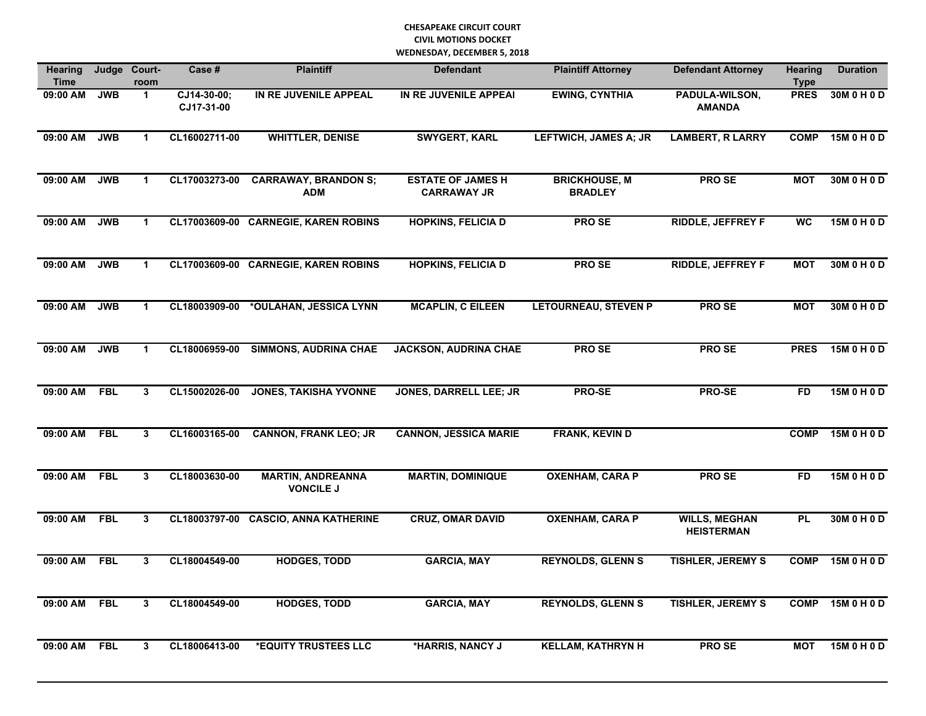| <b>Hearing</b><br><b>Time</b> | Judge      | Court-<br>room       | Case #                    | <b>Plaintiff</b>                             | <b>Defendant</b>                               | <b>Plaintiff Attorney</b>              | <b>Defendant Attorney</b>                 | <b>Hearing</b><br><b>Type</b> | <b>Duration</b> |
|-------------------------------|------------|----------------------|---------------------------|----------------------------------------------|------------------------------------------------|----------------------------------------|-------------------------------------------|-------------------------------|-----------------|
| 09:00 AM                      | <b>JWB</b> | $\mathbf{1}$         | CJ14-30-00;<br>CJ17-31-00 | IN RE JUVENILE APPEAL                        | IN RE JUVENILE APPEAI                          | <b>EWING, CYNTHIA</b>                  | PADULA-WILSON,<br><b>AMANDA</b>           | <b>PRES</b>                   | 30M 0 H 0 D     |
| 09:00 AM                      | <b>JWB</b> | $\mathbf{1}$         | CL16002711-00             | <b>WHITTLER, DENISE</b>                      | <b>SWYGERT, KARL</b>                           | <b>LEFTWICH, JAMES A; JR</b>           | <b>LAMBERT, R LARRY</b>                   | <b>COMP</b>                   | 15M 0 H 0 D     |
| 09:00 AM                      | <b>JWB</b> | $\blacktriangleleft$ | CL17003273-00             | <b>CARRAWAY, BRANDON S;</b><br><b>ADM</b>    | <b>ESTATE OF JAMES H</b><br><b>CARRAWAY JR</b> | <b>BRICKHOUSE, M</b><br><b>BRADLEY</b> | <b>PROSE</b>                              | <b>MOT</b>                    | 30M 0 H 0 D     |
| 09:00 AM                      | <b>JWB</b> | -1                   |                           | CL17003609-00 CARNEGIE, KAREN ROBINS         | <b>HOPKINS, FELICIA D</b>                      | <b>PROSE</b>                           | RIDDLE, JEFFREY F                         | <b>WC</b>                     | 15M 0 H 0 D     |
| 09:00 AM                      | <b>JWB</b> | $\mathbf 1$          |                           | CL17003609-00 CARNEGIE, KAREN ROBINS         | <b>HOPKINS, FELICIA D</b>                      | PRO SE                                 | RIDDLE, JEFFREY F                         | <b>MOT</b>                    | 30M 0 H 0 D     |
| 09:00 AM                      | <b>JWB</b> | $\blacktriangleleft$ | CL18003909-00             | *OULAHAN, JESSICA LYNN                       | <b>MCAPLIN, C EILEEN</b>                       | <b>LETOURNEAU, STEVEN P</b>            | <b>PROSE</b>                              | <b>MOT</b>                    | 30M 0 H 0 D     |
| 09:00 AM                      | <b>JWB</b> | $\blacktriangleleft$ | CL18006959-00             | <b>SIMMONS, AUDRINA CHAE</b>                 | <b>JACKSON, AUDRINA CHAE</b>                   | <b>PROSE</b>                           | <b>PROSE</b>                              | <b>PRES</b>                   | 15M 0 H 0 D     |
| 09:00 AM FBL                  |            | $\mathbf{3}$         | CL15002026-00             | <b>JONES, TAKISHA YVONNE</b>                 | <b>JONES, DARRELL LEE; JR</b>                  | <b>PRO-SE</b>                          | <b>PRO-SE</b>                             | <b>FD</b>                     | 15M 0 H 0 D     |
| 09:00 AM FBL                  |            | 3                    | CL16003165-00             | <b>CANNON, FRANK LEO; JR</b>                 | <b>CANNON, JESSICA MARIE</b>                   | <b>FRANK, KEVIN D</b>                  |                                           | <b>COMP</b>                   | 15M 0 H 0 D     |
| 09:00 AM FBL                  |            | 3                    | CL18003630-00             | <b>MARTIN, ANDREANNA</b><br><b>VONCILE J</b> | <b>MARTIN, DOMINIQUE</b>                       | <b>OXENHAM, CARA P</b>                 | PRO SE                                    | <b>FD</b>                     | 15M 0 H 0 D     |
| 09:00 AM                      | <b>FBL</b> | $\mathbf{3}$         | CL18003797-00             | <b>CASCIO, ANNA KATHERINE</b>                | <b>CRUZ, OMAR DAVID</b>                        | <b>OXENHAM, CARA P</b>                 | <b>WILLS, MEGHAN</b><br><b>HEISTERMAN</b> | PL                            | 30M 0 H 0 D     |
| 09:00 AM                      | <b>FBL</b> | $\mathbf{3}$         | CL18004549-00             | <b>HODGES, TODD</b>                          | <b>GARCIA, MAY</b>                             | <b>REYNOLDS, GLENN S</b>               | <b>TISHLER, JEREMY S</b>                  | <b>COMP</b>                   | 15M 0 H 0 D     |
| 09:00 AM                      | <b>FBL</b> | 3                    | CL18004549-00             | <b>HODGES, TODD</b>                          | <b>GARCIA, MAY</b>                             | <b>REYNOLDS, GLENN S</b>               | <b>TISHLER, JEREMY S</b>                  | <b>COMP</b>                   | 15M 0 H 0 D     |
| 09:00 AM                      | <b>FBL</b> | 3                    | CL18006413-00             | *EQUITY TRUSTEES LLC                         | *HARRIS, NANCY J                               | <b>KELLAM, KATHRYN H</b>               | <b>PROSE</b>                              | <b>MOT</b>                    | 15M 0 H 0 D     |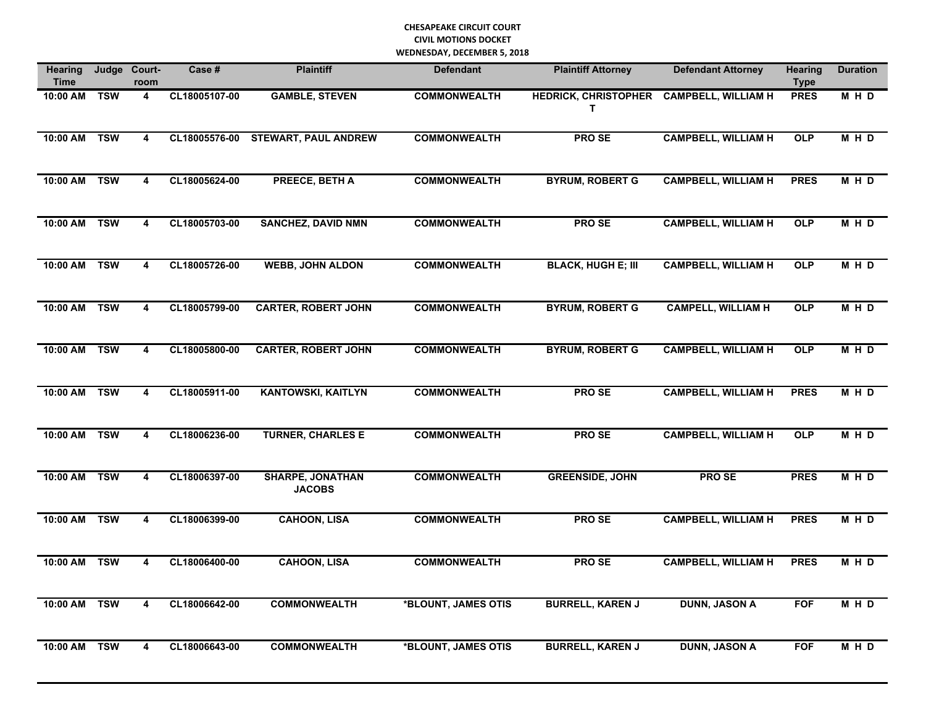| <b>Hearing</b><br><b>Time</b> | Judge      | Court-<br>room          | Case #        | <b>Plaintiff</b>                         | <b>Defendant</b>    | <b>Plaintiff Attorney</b>                      | <b>Defendant Attorney</b>  | <b>Hearing</b><br><b>Type</b> | <b>Duration</b> |
|-------------------------------|------------|-------------------------|---------------|------------------------------------------|---------------------|------------------------------------------------|----------------------------|-------------------------------|-----------------|
| 10:00 AM TSW                  |            | $\overline{\mathbf{4}}$ | CL18005107-00 | <b>GAMBLE, STEVEN</b>                    | <b>COMMONWEALTH</b> | HEDRICK, CHRISTOPHER CAMPBELL, WILLIAM H<br>T. |                            | <b>PRES</b>                   | MHD             |
| 10:00 AM                      | <b>TSW</b> | 4                       | CL18005576-00 | <b>STEWART, PAUL ANDREW</b>              | <b>COMMONWEALTH</b> | <b>PROSE</b>                                   | <b>CAMPBELL, WILLIAM H</b> | <b>OLP</b>                    | M H D           |
| 10:00 AM TSW                  |            | $\overline{\mathbf{4}}$ | CL18005624-00 | <b>PREECE, BETH A</b>                    | <b>COMMONWEALTH</b> | <b>BYRUM, ROBERT G</b>                         | <b>CAMPBELL, WILLIAM H</b> | <b>PRES</b>                   | MHD             |
| 10:00 AM TSW                  |            | $\overline{\mathbf{4}}$ | CL18005703-00 | <b>SANCHEZ, DAVID NMN</b>                | <b>COMMONWEALTH</b> | <b>PROSE</b>                                   | <b>CAMPBELL, WILLIAM H</b> | OLP                           | M H D           |
| 10:00 AM TSW                  |            | 4                       | CL18005726-00 | <b>WEBB, JOHN ALDON</b>                  | <b>COMMONWEALTH</b> | <b>BLACK, HUGH E; III</b>                      | <b>CAMPBELL, WILLIAM H</b> | <b>OLP</b>                    | M H D           |
| 10:00 AM TSW                  |            | $\overline{\mathbf{4}}$ | CL18005799-00 | <b>CARTER, ROBERT JOHN</b>               | <b>COMMONWEALTH</b> | <b>BYRUM, ROBERT G</b>                         | <b>CAMPELL, WILLIAM H</b>  | OLP                           | M H D           |
| 10:00 AM                      | <b>TSW</b> | $\overline{\mathbf{4}}$ | CL18005800-00 | <b>CARTER, ROBERT JOHN</b>               | <b>COMMONWEALTH</b> | <b>BYRUM, ROBERT G</b>                         | <b>CAMPBELL, WILLIAM H</b> | <b>OLP</b>                    | M H D           |
| 10:00 AM TSW                  |            | $\overline{\mathbf{4}}$ | CL18005911-00 | <b>KANTOWSKI, KAITLYN</b>                | <b>COMMONWEALTH</b> | <b>PROSE</b>                                   | <b>CAMPBELL, WILLIAM H</b> | <b>PRES</b>                   | M H D           |
| 10:00 AM TSW                  |            | 4                       | CL18006236-00 | <b>TURNER, CHARLES E</b>                 | <b>COMMONWEALTH</b> | <b>PROSE</b>                                   | <b>CAMPBELL, WILLIAM H</b> | OLP                           | M H D           |
| 10:00 AM TSW                  |            | 4                       | CL18006397-00 | <b>SHARPE, JONATHAN</b><br><b>JACOBS</b> | <b>COMMONWEALTH</b> | <b>GREENSIDE, JOHN</b>                         | <b>PROSE</b>               | <b>PRES</b>                   | M H D           |
| 10:00 AM TSW                  |            | $\overline{\mathbf{4}}$ | CL18006399-00 | <b>CAHOON, LISA</b>                      | <b>COMMONWEALTH</b> | <b>PROSE</b>                                   | <b>CAMPBELL, WILLIAM H</b> | <b>PRES</b>                   | M H D           |
| 10:00 AM TSW                  |            | $\overline{\mathbf{4}}$ | CL18006400-00 | <b>CAHOON, LISA</b>                      | <b>COMMONWEALTH</b> | <b>PROSE</b>                                   | <b>CAMPBELL, WILLIAM H</b> | <b>PRES</b>                   | <b>MHD</b>      |
| 10:00 AM TSW                  |            | 4                       | CL18006642-00 | <b>COMMONWEALTH</b>                      | *BLOUNT, JAMES OTIS | <b>BURRELL, KAREN J</b>                        | <b>DUNN, JASON A</b>       | <b>FOF</b>                    | M H D           |
| 10:00 AM                      | <b>TSW</b> | 4                       | CL18006643-00 | <b>COMMONWEALTH</b>                      | *BLOUNT, JAMES OTIS | <b>BURRELL, KAREN J</b>                        | <b>DUNN, JASON A</b>       | <b>FOF</b>                    | M H D           |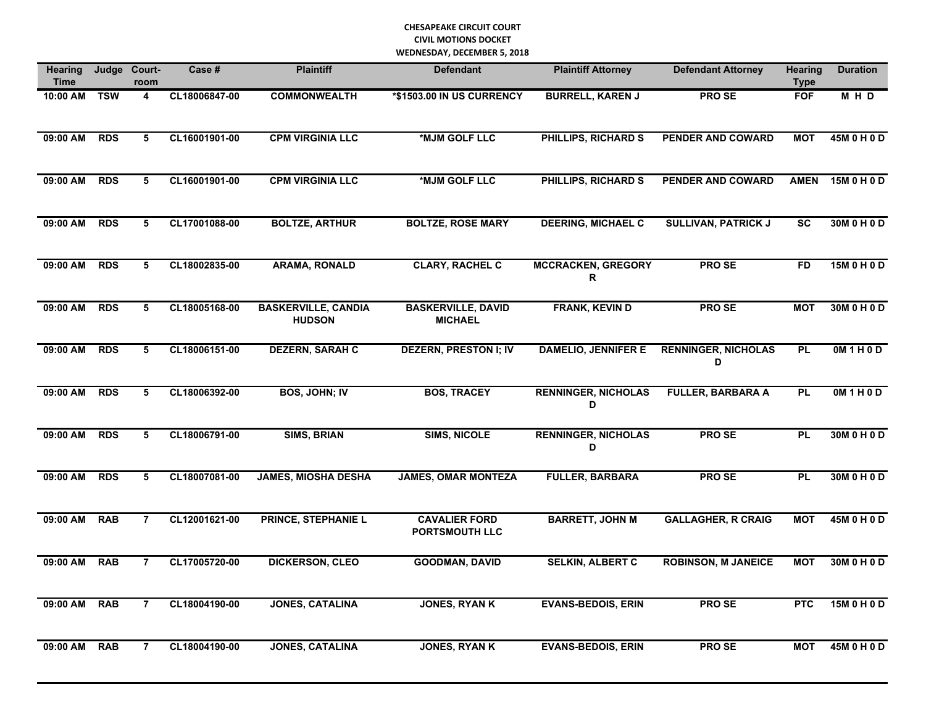| <b>Hearing</b><br><b>Time</b> | Judge      | Court-<br>room | Case #        | <b>Plaintiff</b>                            | <b>Defendant</b>                              | <b>Plaintiff Attorney</b>       | <b>Defendant Attorney</b>       | <b>Hearing</b><br><b>Type</b> | <b>Duration</b> |
|-------------------------------|------------|----------------|---------------|---------------------------------------------|-----------------------------------------------|---------------------------------|---------------------------------|-------------------------------|-----------------|
| 10:00 AM                      | <b>TSW</b> | 4              | CL18006847-00 | <b>COMMONWEALTH</b>                         | *\$1503.00 IN US CURRENCY                     | <b>BURRELL, KAREN J</b>         | PRO SE                          | <b>FOF</b>                    | M H D           |
| 09:00 AM                      | <b>RDS</b> | 5              | CL16001901-00 | <b>CPM VIRGINIA LLC</b>                     | *MJM GOLF LLC                                 | PHILLIPS, RICHARD S             | <b>PENDER AND COWARD</b>        | <b>MOT</b>                    | 45M 0 H 0 D     |
| 09:00 AM                      | <b>RDS</b> | 5              | CL16001901-00 | <b>CPM VIRGINIA LLC</b>                     | *MJM GOLF LLC                                 | <b>PHILLIPS, RICHARD S</b>      | PENDER AND COWARD               | <b>AMEN</b>                   | 15M 0 H 0 D     |
| 09:00 AM                      | <b>RDS</b> | 5              | CL17001088-00 | <b>BOLTZE, ARTHUR</b>                       | <b>BOLTZE, ROSE MARY</b>                      | <b>DEERING, MICHAEL C</b>       | <b>SULLIVAN, PATRICK J</b>      | <b>SC</b>                     | 30M 0 H 0 D     |
| 09:00 AM RDS                  |            | 5              | CL18002835-00 | <b>ARAMA, RONALD</b>                        | <b>CLARY, RACHEL C</b>                        | <b>MCCRACKEN, GREGORY</b><br>R  | <b>PROSE</b>                    | <b>FD</b>                     | 15M 0 H 0 D     |
| 09:00 AM                      | <b>RDS</b> | 5              | CL18005168-00 | <b>BASKERVILLE, CANDIA</b><br><b>HUDSON</b> | <b>BASKERVILLE, DAVID</b><br><b>MICHAEL</b>   | <b>FRANK, KEVIN D</b>           | <b>PROSE</b>                    | <b>MOT</b>                    | 30M 0 H 0 D     |
| 09:00 AM                      | <b>RDS</b> | 5              | CL18006151-00 | <b>DEZERN, SARAH C</b>                      | <b>DEZERN, PRESTON I; IV</b>                  | <b>DAMELIO, JENNIFER E</b>      | <b>RENNINGER, NICHOLAS</b><br>D | PL                            | OM1H0D          |
| 09:00 AM RDS                  |            | 5              | CL18006392-00 | <b>BOS, JOHN; IV</b>                        | <b>BOS, TRACEY</b>                            | <b>RENNINGER, NICHOLAS</b><br>D | <b>FULLER, BARBARA A</b>        | <b>PL</b>                     | 0M1H0D          |
| 09:00 AM                      | <b>RDS</b> | 5              | CL18006791-00 | <b>SIMS, BRIAN</b>                          | <b>SIMS, NICOLE</b>                           | <b>RENNINGER, NICHOLAS</b><br>D | <b>PROSE</b>                    | PL                            | 30M 0 H 0 D     |
| 09:00 AM                      | <b>RDS</b> | 5              | CL18007081-00 | <b>JAMES, MIOSHA DESHA</b>                  | <b>JAMES, OMAR MONTEZA</b>                    | <b>FULLER, BARBARA</b>          | <b>PROSE</b>                    | <b>PL</b>                     | 30M 0 H 0 D     |
| 09:00 AM                      | <b>RAB</b> | $\overline{7}$ | CL12001621-00 | <b>PRINCE, STEPHANIE L</b>                  | <b>CAVALIER FORD</b><br><b>PORTSMOUTH LLC</b> | <b>BARRETT, JOHN M</b>          | <b>GALLAGHER, R CRAIG</b>       | <b>MOT</b>                    | 45M 0 H 0 D     |
| 09:00 AM                      | <b>RAB</b> | $\overline{7}$ | CL17005720-00 | <b>DICKERSON, CLEO</b>                      | <b>GOODMAN, DAVID</b>                         | <b>SELKIN, ALBERT C</b>         | <b>ROBINSON, M JANEICE</b>      | <b>MOT</b>                    | 30M 0 H 0 D     |
| 09:00 AM                      | <b>RAB</b> | $\overline{7}$ | CL18004190-00 | <b>JONES, CATALINA</b>                      | <b>JONES, RYAN K</b>                          | <b>EVANS-BEDOIS, ERIN</b>       | <b>PROSE</b>                    | <b>PTC</b>                    | 15M 0 H 0 D     |
| 09:00 AM                      | <b>RAB</b> | $\overline{7}$ | CL18004190-00 | <b>JONES, CATALINA</b>                      | <b>JONES, RYAN K</b>                          | <b>EVANS-BEDOIS, ERIN</b>       | <b>PROSE</b>                    | <b>MOT</b>                    | 45M 0 H 0 D     |